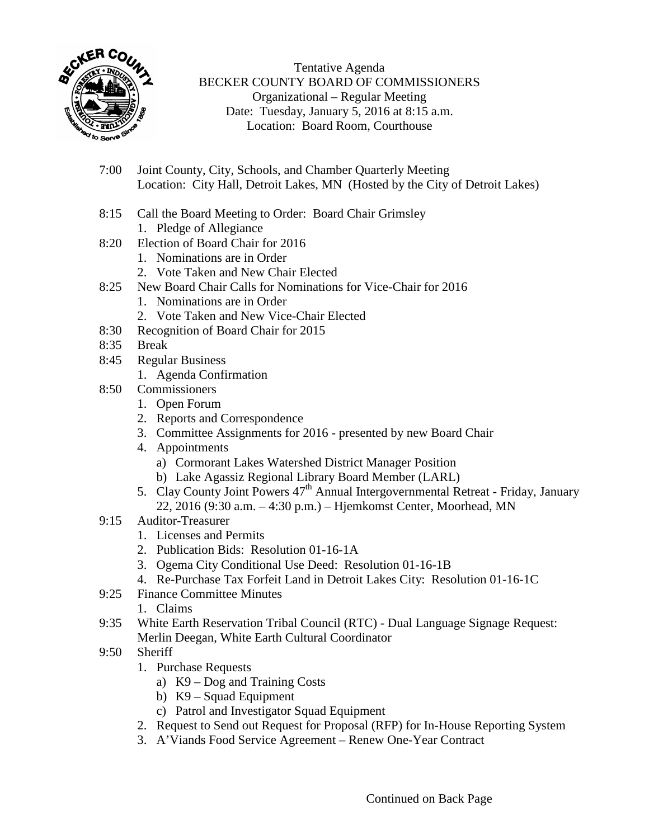

Tentative Agenda BECKER COUNTY BOARD OF COMMISSIONERS Organizational – Regular Meeting Date: Tuesday, January 5, 2016 at 8:15 a.m. Location: Board Room, Courthouse

- 7:00 Joint County, City, Schools, and Chamber Quarterly Meeting Location: City Hall, Detroit Lakes, MN (Hosted by the City of Detroit Lakes)
- 8:15 Call the Board Meeting to Order: Board Chair Grimsley 1. Pledge of Allegiance
- 8:20 Election of Board Chair for 2016
	- 1. Nominations are in Order
	- 2. Vote Taken and New Chair Elected
- 8:25 New Board Chair Calls for Nominations for Vice-Chair for 2016
	- 1. Nominations are in Order
	- 2. Vote Taken and New Vice-Chair Elected
- 8:30 Recognition of Board Chair for 2015
- 8:35 Break
- 8:45 Regular Business
	- 1. Agenda Confirmation
- 8:50 Commissioners
	- 1. Open Forum
	- 2. Reports and Correspondence
	- 3. Committee Assignments for 2016 presented by new Board Chair
	- 4. Appointments
		- a) Cormorant Lakes Watershed District Manager Position
		- b) Lake Agassiz Regional Library Board Member (LARL)
	- 5. Clay County Joint Powers 47<sup>th</sup> Annual Intergovernmental Retreat Friday, January 22, 2016 (9:30 a.m. – 4:30 p.m.) – Hjemkomst Center, Moorhead, MN
- 9:15 Auditor-Treasurer
	- 1. Licenses and Permits
	- 2. Publication Bids: Resolution 01-16-1A
	- 3. Ogema City Conditional Use Deed: Resolution 01-16-1B
	- 4. Re-Purchase Tax Forfeit Land in Detroit Lakes City: Resolution 01-16-1C
- 9:25 Finance Committee Minutes

1. Claims

- 9:35 White Earth Reservation Tribal Council (RTC) Dual Language Signage Request: Merlin Deegan, White Earth Cultural Coordinator
- 9:50 Sheriff
	- 1. Purchase Requests
		- a) K9 Dog and Training Costs
		- b) K9 Squad Equipment
		- c) Patrol and Investigator Squad Equipment
	- 2. Request to Send out Request for Proposal (RFP) for In-House Reporting System
	- 3. A'Viands Food Service Agreement Renew One-Year Contract